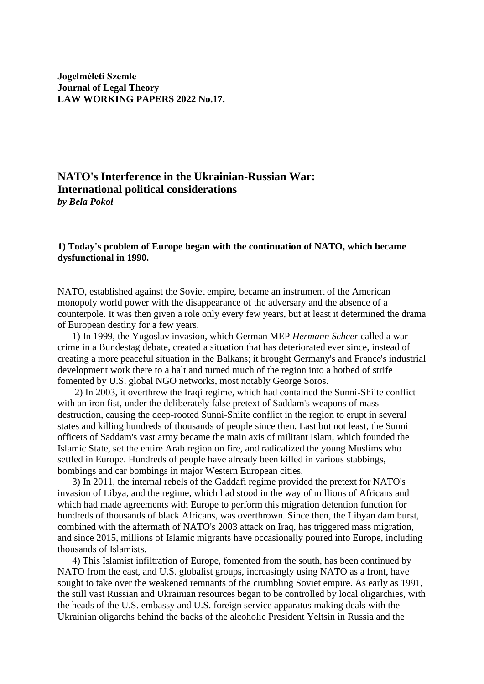**Jogelméleti Szemle Journal of Legal Theory LAW WORKING PAPERS 2022 No.17.**

# **NATO's Interference in the Ukrainian-Russian War: International political considerations**  *by Bela Pokol*

## **1) Today's problem of Europe began with the continuation of NATO, which became dysfunctional in 1990.**

NATO, established against the Soviet empire, became an instrument of the American monopoly world power with the disappearance of the adversary and the absence of a counterpole. It was then given a role only every few years, but at least it determined the drama of European destiny for a few years.

 1) In 1999, the Yugoslav invasion, which German MEP *Hermann Scheer* called a war crime in a Bundestag debate, created a situation that has deteriorated ever since, instead of creating a more peaceful situation in the Balkans; it brought Germany's and France's industrial development work there to a halt and turned much of the region into a hotbed of strife fomented by U.S. global NGO networks, most notably George Soros.

 2) In 2003, it overthrew the Iraqi regime, which had contained the Sunni-Shiite conflict with an iron fist, under the deliberately false pretext of Saddam's weapons of mass destruction, causing the deep-rooted Sunni-Shiite conflict in the region to erupt in several states and killing hundreds of thousands of people since then. Last but not least, the Sunni officers of Saddam's vast army became the main axis of militant Islam, which founded the Islamic State, set the entire Arab region on fire, and radicalized the young Muslims who settled in Europe. Hundreds of people have already been killed in various stabbings, bombings and car bombings in major Western European cities.

 3) In 2011, the internal rebels of the Gaddafi regime provided the pretext for NATO's invasion of Libya, and the regime, which had stood in the way of millions of Africans and which had made agreements with Europe to perform this migration detention function for hundreds of thousands of black Africans, was overthrown. Since then, the Libyan dam burst, combined with the aftermath of NATO's 2003 attack on Iraq, has triggered mass migration, and since 2015, millions of Islamic migrants have occasionally poured into Europe, including thousands of Islamists.

 4) This Islamist infiltration of Europe, fomented from the south, has been continued by NATO from the east, and U.S. globalist groups, increasingly using NATO as a front, have sought to take over the weakened remnants of the crumbling Soviet empire. As early as 1991, the still vast Russian and Ukrainian resources began to be controlled by local oligarchies, with the heads of the U.S. embassy and U.S. foreign service apparatus making deals with the Ukrainian oligarchs behind the backs of the alcoholic President Yeltsin in Russia and the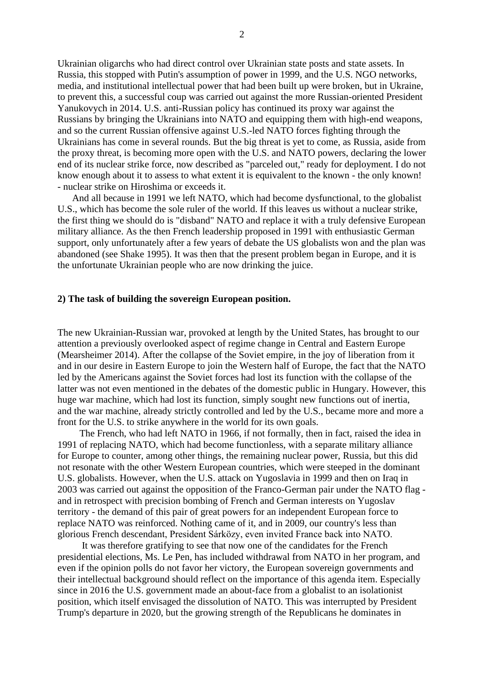Ukrainian oligarchs who had direct control over Ukrainian state posts and state assets. In Russia, this stopped with Putin's assumption of power in 1999, and the U.S. NGO networks, media, and institutional intellectual power that had been built up were broken, but in Ukraine, to prevent this, a successful coup was carried out against the more Russian-oriented President Yanukovych in 2014. U.S. anti-Russian policy has continued its proxy war against the Russians by bringing the Ukrainians into NATO and equipping them with high-end weapons, and so the current Russian offensive against U.S.-led NATO forces fighting through the Ukrainians has come in several rounds. But the big threat is yet to come, as Russia, aside from the proxy threat, is becoming more open with the U.S. and NATO powers, declaring the lower end of its nuclear strike force, now described as "parceled out," ready for deployment. I do not know enough about it to assess to what extent it is equivalent to the known - the only known! - nuclear strike on Hiroshima or exceeds it.

 And all because in 1991 we left NATO, which had become dysfunctional, to the globalist U.S., which has become the sole ruler of the world. If this leaves us without a nuclear strike, the first thing we should do is "disband" NATO and replace it with a truly defensive European military alliance. As the then French leadership proposed in 1991 with enthusiastic German support, only unfortunately after a few years of debate the US globalists won and the plan was abandoned (see Shake 1995). It was then that the present problem began in Europe, and it is the unfortunate Ukrainian people who are now drinking the juice.

#### **2) The task of building the sovereign European position.**

The new Ukrainian-Russian war, provoked at length by the United States, has brought to our attention a previously overlooked aspect of regime change in Central and Eastern Europe (Mearsheimer 2014). After the collapse of the Soviet empire, in the joy of liberation from it and in our desire in Eastern Europe to join the Western half of Europe, the fact that the NATO led by the Americans against the Soviet forces had lost its function with the collapse of the latter was not even mentioned in the debates of the domestic public in Hungary. However, this huge war machine, which had lost its function, simply sought new functions out of inertia, and the war machine, already strictly controlled and led by the U.S., became more and more a front for the U.S. to strike anywhere in the world for its own goals.

 The French, who had left NATO in 1966, if not formally, then in fact, raised the idea in 1991 of replacing NATO, which had become functionless, with a separate military alliance for Europe to counter, among other things, the remaining nuclear power, Russia, but this did not resonate with the other Western European countries, which were steeped in the dominant U.S. globalists. However, when the U.S. attack on Yugoslavia in 1999 and then on Iraq in 2003 was carried out against the opposition of the Franco-German pair under the NATO flag and in retrospect with precision bombing of French and German interests on Yugoslav territory - the demand of this pair of great powers for an independent European force to replace NATO was reinforced. Nothing came of it, and in 2009, our country's less than glorious French descendant, President Sárközy, even invited France back into NATO.

 It was therefore gratifying to see that now one of the candidates for the French presidential elections, Ms. Le Pen, has included withdrawal from NATO in her program, and even if the opinion polls do not favor her victory, the European sovereign governments and their intellectual background should reflect on the importance of this agenda item. Especially since in 2016 the U.S. government made an about-face from a globalist to an isolationist position, which itself envisaged the dissolution of NATO. This was interrupted by President Trump's departure in 2020, but the growing strength of the Republicans he dominates in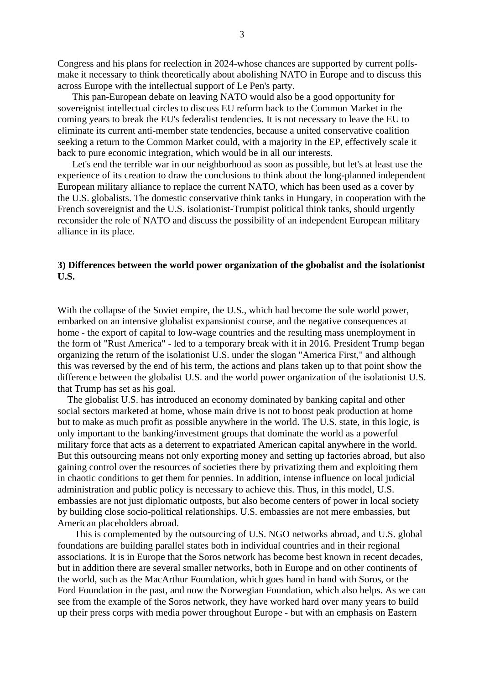Congress and his plans for reelection in 2024-whose chances are supported by current pollsmake it necessary to think theoretically about abolishing NATO in Europe and to discuss this across Europe with the intellectual support of Le Pen's party.

 This pan-European debate on leaving NATO would also be a good opportunity for sovereignist intellectual circles to discuss EU reform back to the Common Market in the coming years to break the EU's federalist tendencies. It is not necessary to leave the EU to eliminate its current anti-member state tendencies, because a united conservative coalition seeking a return to the Common Market could, with a majority in the EP, effectively scale it back to pure economic integration, which would be in all our interests.

 Let's end the terrible war in our neighborhood as soon as possible, but let's at least use the experience of its creation to draw the conclusions to think about the long-planned independent European military alliance to replace the current NATO, which has been used as a cover by the U.S. globalists. The domestic conservative think tanks in Hungary, in cooperation with the French sovereignist and the U.S. isolationist-Trumpist political think tanks, should urgently reconsider the role of NATO and discuss the possibility of an independent European military alliance in its place.

# **3) Differences between the world power organization of the gbobalist and the isolationist U.S.**

With the collapse of the Soviet empire, the U.S., which had become the sole world power, embarked on an intensive globalist expansionist course, and the negative consequences at home - the export of capital to low-wage countries and the resulting mass unemployment in the form of "Rust America" - led to a temporary break with it in 2016. President Trump began organizing the return of the isolationist U.S. under the slogan "America First," and although this was reversed by the end of his term, the actions and plans taken up to that point show the difference between the globalist U.S. and the world power organization of the isolationist U.S. that Trump has set as his goal.

 The globalist U.S. has introduced an economy dominated by banking capital and other social sectors marketed at home, whose main drive is not to boost peak production at home but to make as much profit as possible anywhere in the world. The U.S. state, in this logic, is only important to the banking/investment groups that dominate the world as a powerful military force that acts as a deterrent to expatriated American capital anywhere in the world. But this outsourcing means not only exporting money and setting up factories abroad, but also gaining control over the resources of societies there by privatizing them and exploiting them in chaotic conditions to get them for pennies. In addition, intense influence on local judicial administration and public policy is necessary to achieve this. Thus, in this model, U.S. embassies are not just diplomatic outposts, but also become centers of power in local society by building close socio-political relationships. U.S. embassies are not mere embassies, but American placeholders abroad.

 This is complemented by the outsourcing of U.S. NGO networks abroad, and U.S. global foundations are building parallel states both in individual countries and in their regional associations. It is in Europe that the Soros network has become best known in recent decades, but in addition there are several smaller networks, both in Europe and on other continents of the world, such as the MacArthur Foundation, which goes hand in hand with Soros, or the Ford Foundation in the past, and now the Norwegian Foundation, which also helps. As we can see from the example of the Soros network, they have worked hard over many years to build up their press corps with media power throughout Europe - but with an emphasis on Eastern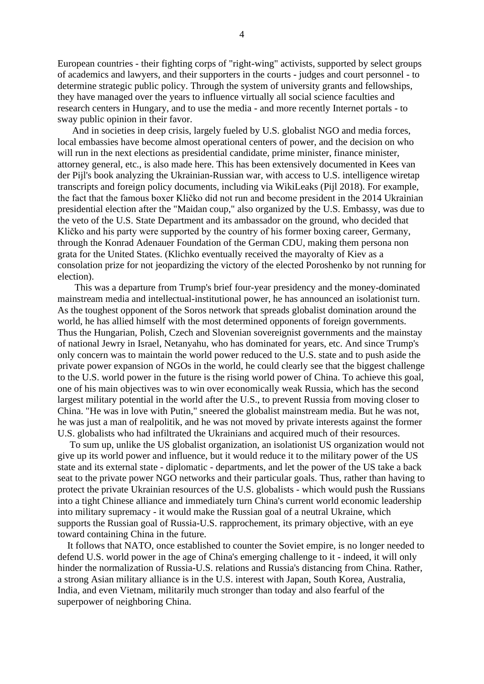European countries - their fighting corps of "right-wing" activists, supported by select groups of academics and lawyers, and their supporters in the courts - judges and court personnel - to determine strategic public policy. Through the system of university grants and fellowships, they have managed over the years to influence virtually all social science faculties and research centers in Hungary, and to use the media - and more recently Internet portals - to sway public opinion in their favor.

 And in societies in deep crisis, largely fueled by U.S. globalist NGO and media forces, local embassies have become almost operational centers of power, and the decision on who will run in the next elections as presidential candidate, prime minister, finance minister, attorney general, etc., is also made here. This has been extensively documented in Kees van der Pijl's book analyzing the Ukrainian-Russian war, with access to U.S. intelligence wiretap transcripts and foreign policy documents, including via WikiLeaks (Pijl 2018). For example, the fact that the famous boxer Kličko did not run and become president in the 2014 Ukrainian presidential election after the "Maidan coup," also organized by the U.S. Embassy, was due to the veto of the U.S. State Department and its ambassador on the ground, who decided that Kličko and his party were supported by the country of his former boxing career, Germany, through the Konrad Adenauer Foundation of the German CDU, making them persona non grata for the United States. (Klichko eventually received the mayoralty of Kiev as a consolation prize for not jeopardizing the victory of the elected Poroshenko by not running for election).

 This was a departure from Trump's brief four-year presidency and the money-dominated mainstream media and intellectual-institutional power, he has announced an isolationist turn. As the toughest opponent of the Soros network that spreads globalist domination around the world, he has allied himself with the most determined opponents of foreign governments. Thus the Hungarian, Polish, Czech and Slovenian sovereignist governments and the mainstay of national Jewry in Israel, Netanyahu, who has dominated for years, etc. And since Trump's only concern was to maintain the world power reduced to the U.S. state and to push aside the private power expansion of NGOs in the world, he could clearly see that the biggest challenge to the U.S. world power in the future is the rising world power of China. To achieve this goal, one of his main objectives was to win over economically weak Russia, which has the second largest military potential in the world after the U.S., to prevent Russia from moving closer to China. "He was in love with Putin," sneered the globalist mainstream media. But he was not, he was just a man of realpolitik, and he was not moved by private interests against the former U.S. globalists who had infiltrated the Ukrainians and acquired much of their resources.

 To sum up, unlike the US globalist organization, an isolationist US organization would not give up its world power and influence, but it would reduce it to the military power of the US state and its external state - diplomatic - departments, and let the power of the US take a back seat to the private power NGO networks and their particular goals. Thus, rather than having to protect the private Ukrainian resources of the U.S. globalists - which would push the Russians into a tight Chinese alliance and immediately turn China's current world economic leadership into military supremacy - it would make the Russian goal of a neutral Ukraine, which supports the Russian goal of Russia-U.S. rapprochement, its primary objective, with an eye toward containing China in the future.

 It follows that NATO, once established to counter the Soviet empire, is no longer needed to defend U.S. world power in the age of China's emerging challenge to it - indeed, it will only hinder the normalization of Russia-U.S. relations and Russia's distancing from China. Rather, a strong Asian military alliance is in the U.S. interest with Japan, South Korea, Australia, India, and even Vietnam, militarily much stronger than today and also fearful of the superpower of neighboring China.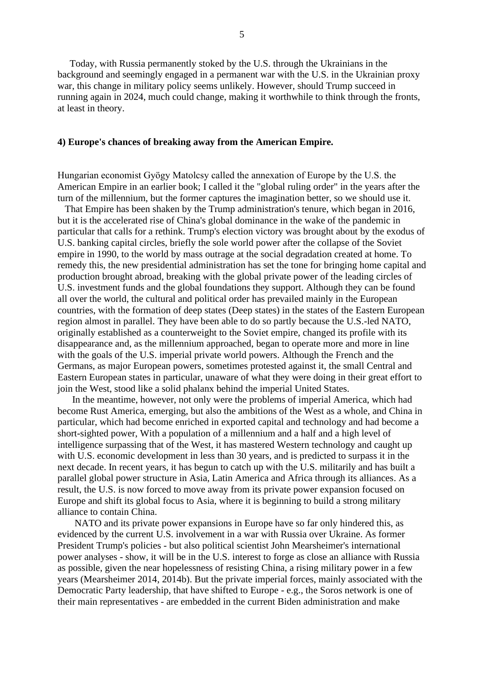Today, with Russia permanently stoked by the U.S. through the Ukrainians in the background and seemingly engaged in a permanent war with the U.S. in the Ukrainian proxy war, this change in military policy seems unlikely. However, should Trump succeed in running again in 2024, much could change, making it worthwhile to think through the fronts, at least in theory.

### **4) Europe's chances of breaking away from the American Empire.**

Hungarian economist Gyögy Matolcsy called the annexation of Europe by the U.S. the American Empire in an earlier book; I called it the "global ruling order" in the years after the turn of the millennium, but the former captures the imagination better, so we should use it.

 That Empire has been shaken by the Trump administration's tenure, which began in 2016, but it is the accelerated rise of China's global dominance in the wake of the pandemic in particular that calls for a rethink. Trump's election victory was brought about by the exodus of U.S. banking capital circles, briefly the sole world power after the collapse of the Soviet empire in 1990, to the world by mass outrage at the social degradation created at home. To remedy this, the new presidential administration has set the tone for bringing home capital and production brought abroad, breaking with the global private power of the leading circles of U.S. investment funds and the global foundations they support. Although they can be found all over the world, the cultural and political order has prevailed mainly in the European countries, with the formation of deep states (Deep states) in the states of the Eastern European region almost in parallel. They have been able to do so partly because the U.S.-led NATO, originally established as a counterweight to the Soviet empire, changed its profile with its disappearance and, as the millennium approached, began to operate more and more in line with the goals of the U.S. imperial private world powers. Although the French and the Germans, as major European powers, sometimes protested against it, the small Central and Eastern European states in particular, unaware of what they were doing in their great effort to join the West, stood like a solid phalanx behind the imperial United States.

 In the meantime, however, not only were the problems of imperial America, which had become Rust America, emerging, but also the ambitions of the West as a whole, and China in particular, which had become enriched in exported capital and technology and had become a short-sighted power, With a population of a millennium and a half and a high level of intelligence surpassing that of the West, it has mastered Western technology and caught up with U.S. economic development in less than 30 years, and is predicted to surpass it in the next decade. In recent years, it has begun to catch up with the U.S. militarily and has built a parallel global power structure in Asia, Latin America and Africa through its alliances. As a result, the U.S. is now forced to move away from its private power expansion focused on Europe and shift its global focus to Asia, where it is beginning to build a strong military alliance to contain China.

 NATO and its private power expansions in Europe have so far only hindered this, as evidenced by the current U.S. involvement in a war with Russia over Ukraine. As former President Trump's policies - but also political scientist John Mearsheimer's international power analyses - show, it will be in the U.S. interest to forge as close an alliance with Russia as possible, given the near hopelessness of resisting China, a rising military power in a few years (Mearsheimer 2014, 2014b). But the private imperial forces, mainly associated with the Democratic Party leadership, that have shifted to Europe - e.g., the Soros network is one of their main representatives - are embedded in the current Biden administration and make